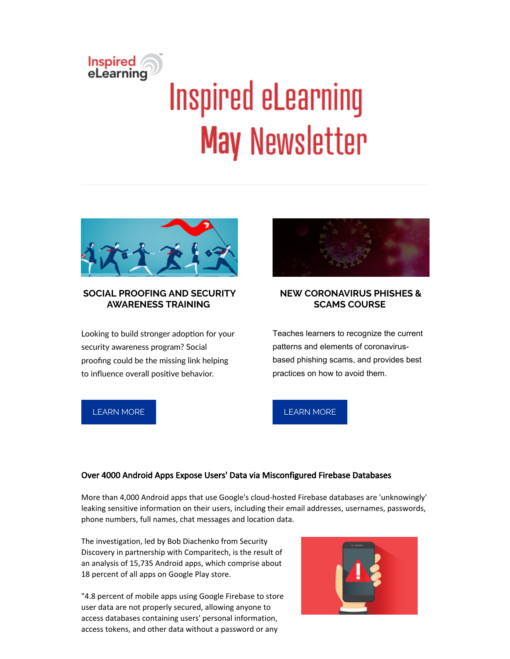# Inspired<br>eLearning **Inspired eLearning May Newsletter**



#### **SOCIAL PROOFING AND SECURITY AWARENESS TRAINING**

Looking to build stronger adoption for your security awareness program? Social proofing could be the missing link helping to influence overall positive behavior.



## **NEW CORONAVIRUS PHISHES & SCAMS COURSE**

Teaches learners to recognize the current patterns and elements of coronavirusbased phishing scams, and provides best practices on how to avoid them.

## [LEARN](https://inspiredelearning.com/blog/social-proofing-security-awareness/) MORE

# [LEARN](https://inspiredelearning.com/blog/inspired-elearning-launches-new-coronavirus-phishes-scams-course/) MORE

#### Over 4000 Android Apps Expose Users' Data via Misconfigured Firebase Databases

More than 4,000 Android apps that use Google's cloud-hosted Firebase databases are 'unknowingly' leaking sensitive information on their users, including their email addresses, usernames, passwords, phone numbers, full names, chat messages and location data.

The investigation, led by Bob Diachenko from Security Discovery in partnership with Comparitech, is the result of an analysis of 15,735 Android apps, which comprise about 18 percent of all apps on Google Play store.

"4.8 percent of mobile apps using Google Firebase to store user data are not properly secured, allowing anyone to access databases containing users' personal information, access tokens, and other data without a password or any

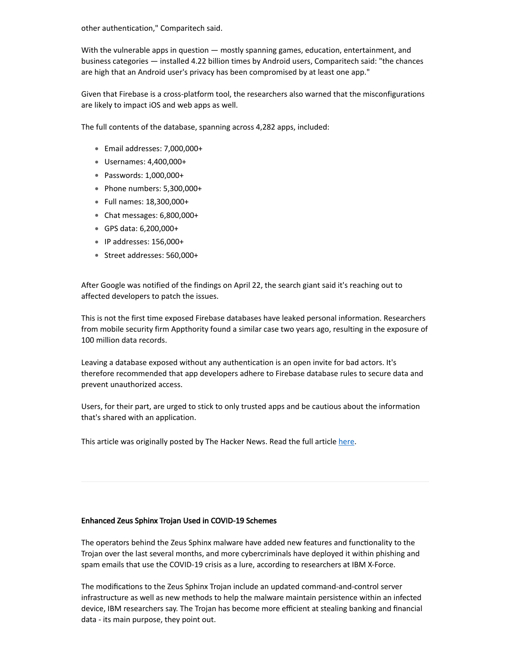other authentication," Comparitech said.

With the vulnerable apps in question — mostly spanning games, education, entertainment, and business categories — installed 4.22 billion times by Android users, Comparitech said: "the chances are high that an Android user's privacy has been compromised by at least one app."

Given that Firebase is a cross-platform tool, the researchers also warned that the misconfigurations are likely to impact iOS and web apps as well.

The full contents of the database, spanning across 4,282 apps, included:

- Email addresses: 7,000,000+
- Usernames: 4,400,000+
- Passwords: 1,000,000+
- Phone numbers: 5,300,000+
- Full names: 18,300,000+
- Chat messages: 6,800,000+
- GPS data: 6,200,000+
- $\bullet$  IP addresses: 156,000+
- Street addresses: 560,000+

After Google was notified of the findings on April 22, the search giant said it's reaching out to affected developers to patch the issues.

This is not the first time exposed Firebase databases have leaked personal information. Researchers from mobile security firm Appthority found a similar case two years ago, resulting in the exposure of 100 million data records.

Leaving a database exposed without any authentication is an open invite for bad actors. It's therefore recommended that app developers adhere to Firebase database rules to secure data and prevent unauthorized access.

Users, for their part, are urged to stick to only trusted apps and be cautious about the information that's shared with an application.

This article was originally posted by The Hacker News. Read the full article [here.](https://thehackernews.com/2020/05/android-firebase-database-security.html)

#### Enhanced Zeus Sphinx Trojan Used in COVID-19 Schemes

The operators behind the Zeus Sphinx malware have added new features and functionality to the Trojan over the last several months, and more cybercriminals have deployed it within phishing and spam emails that use the COVID-19 crisis as a lure, according to researchers at IBM X-Force.

The modifications to the Zeus Sphinx Trojan include an updated command-and-control server infrastructure as well as new methods to help the malware maintain persistence within an infected device, IBM researchers say. The Trojan has become more efficient at stealing banking and financial data - its main purpose, they point out.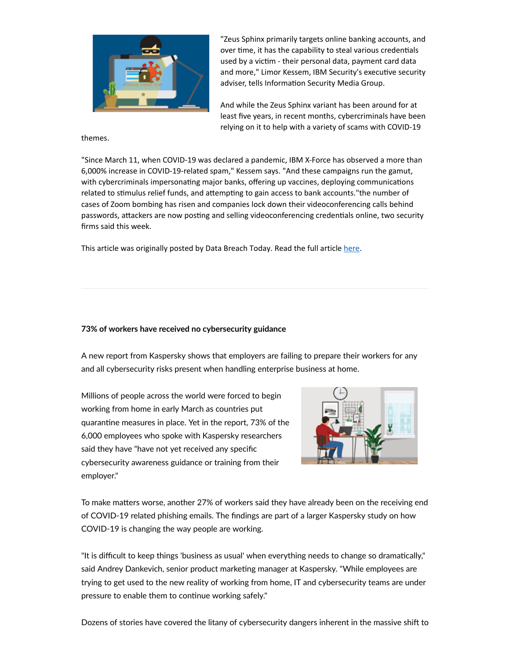

"Zeus Sphinx primarily targets online banking accounts, and over time, it has the capability to steal various credentials used by a victim - their personal data, payment card data and more," Limor Kessem, IBM Security's executive security adviser, tells Information Security Media Group.

And while the Zeus Sphinx variant has been around for at least five years, in recent months, cybercriminals have been relying on it to help with a variety of scams with COVID-19

themes.

"Since March 11, when COVID-19 was declared a pandemic, IBM X-Force has observed a more than 6,000% increase in COVID-19-related spam," Kessem says. "And these campaigns run the gamut, with cybercriminals impersonating major banks, offering up vaccines, deploying communications related to stimulus relief funds, and attempting to gain access to bank accounts." the number of cases of Zoom bombing has risen and companies lock down their videoconferencing calls behind passwords, attackers are now posting and selling videoconferencing credentials online, two security firms said this week.

This article was originally posted by Data Breach Today. Read the full article [here.](https://www.databreachtoday.com/enhanced-zeus-sphinx-trojan-used-in-covid-19-schemes-a-14267)

#### **73% of workers have received no cybersecurity guidance**

A new report from Kaspersky shows that employers are failing to prepare their workers for any and all cybersecurity risks present when handling enterprise business at home.

Millions of people across the world were forced to begin working from home in early March as countries put quarantine measures in place. Yet in the report, 73% of the 6,000 employees who spoke with Kaspersky researchers said they have "have not yet received any specific cybersecurity awareness guidance or training from their employer."



To make matters worse, another 27% of workers said they have already been on the receiving end of COVID-19 related phishing emails. The findings are part of a larger Kaspersky study on how COVID-19 is changing the way people are working.

"It is difficult to keep things 'business as usual' when everything needs to change so dramatically," said Andrey Dankevich, senior product marketing manager at Kaspersky. "While employees are trying to get used to the new reality of working from home, IT and cybersecurity teams are under pressure to enable them to continue working safely."

Dozens of stories have covered the litany of cybersecurity dangers inherent in the massive shift to